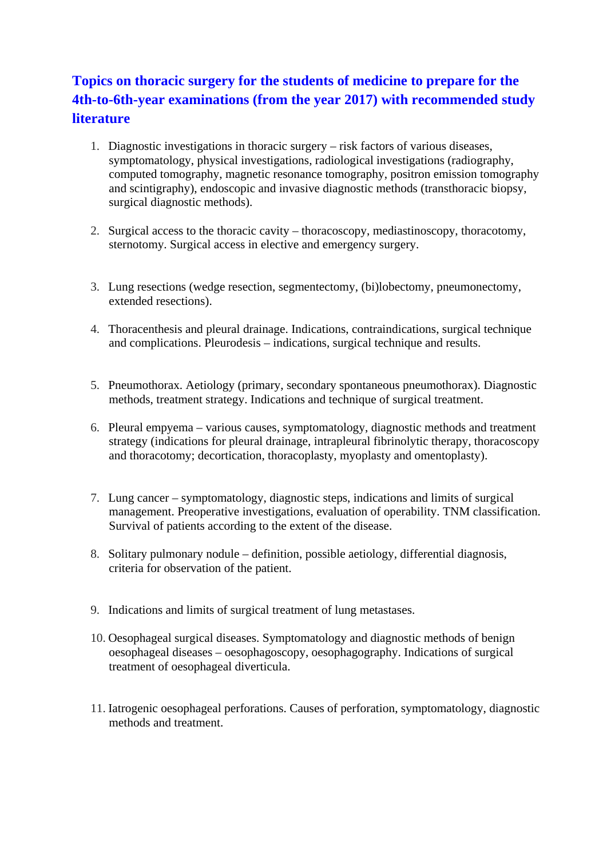# **Topics on thoracic surgery for the students of medicine to prepare for the 4th-to-6th-year examinations (from the year 2017) with recommended study literature**

- 1. Diagnostic investigations in thoracic surgery risk factors of various diseases, symptomatology, physical investigations, radiological investigations (radiography, computed tomography, magnetic resonance tomography, positron emission tomography and scintigraphy), endoscopic and invasive diagnostic methods (transthoracic biopsy, surgical diagnostic methods).
- 2. Surgical access to the thoracic cavity thoracoscopy, mediastinoscopy, thoracotomy, sternotomy. Surgical access in elective and emergency surgery.
- 3. Lung resections (wedge resection, segmentectomy, (bi)lobectomy, pneumonectomy, extended resections).
- 4. Thoracenthesis and pleural drainage. Indications, contraindications, surgical technique and complications. Pleurodesis – indications, surgical technique and results.
- 5. Pneumothorax. Aetiology (primary, secondary spontaneous pneumothorax). Diagnostic methods, treatment strategy. Indications and technique of surgical treatment.
- 6. Pleural empyema various causes, symptomatology, diagnostic methods and treatment strategy (indications for pleural drainage, intrapleural fibrinolytic therapy, thoracoscopy and thoracotomy; decortication, thoracoplasty, myoplasty and omentoplasty).
- 7. Lung cancer symptomatology, diagnostic steps, indications and limits of surgical management. Preoperative investigations, evaluation of operability. TNM classification. Survival of patients according to the extent of the disease.
- 8. Solitary pulmonary nodule definition, possible aetiology, differential diagnosis, criteria for observation of the patient.
- 9. Indications and limits of surgical treatment of lung metastases.
- 10. Oesophageal surgical diseases. Symptomatology and diagnostic methods of benign oesophageal diseases – oesophagoscopy, oesophagography. Indications of surgical treatment of oesophageal diverticula.
- 11. Iatrogenic oesophageal perforations. Causes of perforation, symptomatology, diagnostic methods and treatment.